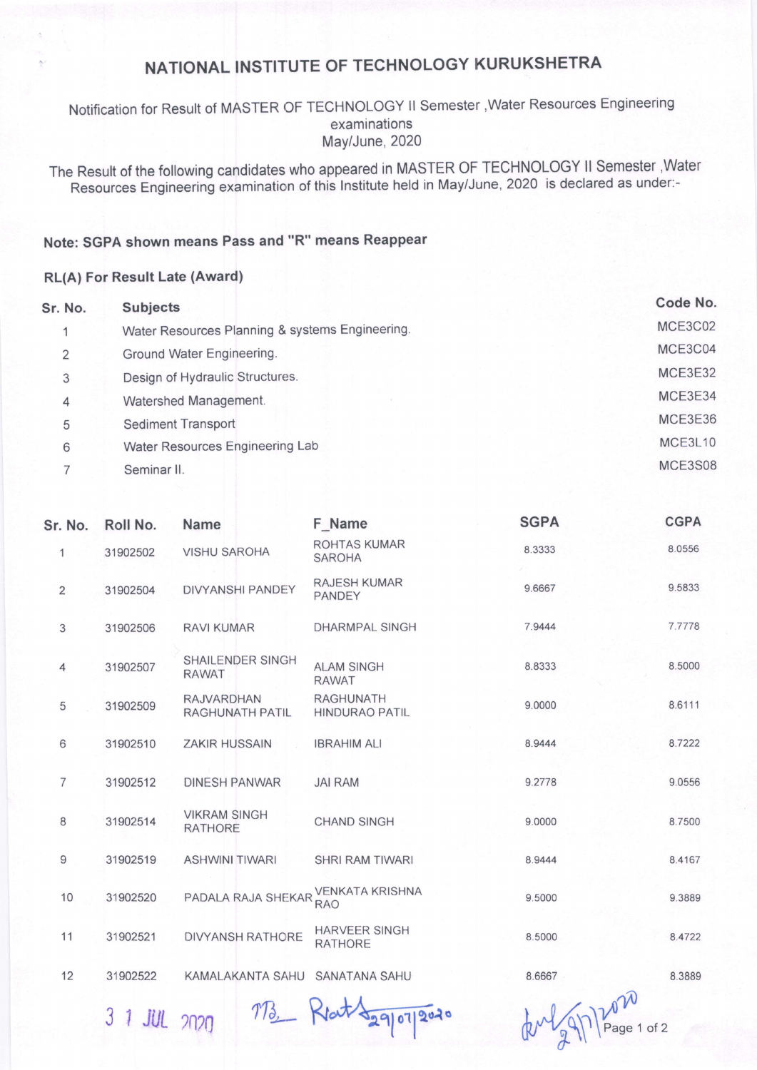# NATIONAL INSTITUTE OF TECHNOLOGY KURUKSHETRA

### Notification for Result of MASTER OF TECHNOLOGY ll Semester,Water Resources Engineering examinations May/June, 2020

The Result of the following candidates who appeared in MASTER OF TECHNOLOGY ll Semester ,Water Resources Engineering examination of this lnstitute held in May/June, 2020 is declared as under:-

### Note: SGPA shown means Pass and "R" means Reappear

#### RL(A) For Result Late (Award)

| Sr. No.                  | <b>Subjects</b>                                 | Code No. |
|--------------------------|-------------------------------------------------|----------|
| $\overline{\phantom{a}}$ | Water Resources Planning & systems Engineering. | MCE3C02  |
| 2                        | Ground Water Engineering.                       | MCE3C04  |
| 3                        | Design of Hydraulic Structures.                 | MCE3E32  |
| 4                        | Watershed Management.                           | MCE3E34  |
| 5                        | Sediment Transport                              | MCE3E36  |
| 6                        | Water Resources Engineering Lab                 | MCE3L10  |
|                          | Seminar II.                                     | MCE3S08  |

| Sr. No.        | Roll No. | <b>Name</b>                                 | F Name                                    | <b>SGPA</b>                       | <b>CGPA</b> |
|----------------|----------|---------------------------------------------|-------------------------------------------|-----------------------------------|-------------|
| $\mathbf{1}$   | 31902502 | <b>VISHU SAROHA</b>                         | <b>ROHTAS KUMAR</b><br><b>SAROHA</b>      | 8.3333                            | 8.0556      |
| $\overline{2}$ | 31902504 | <b>DIVYANSHI PANDEY</b>                     | <b>RAJESH KUMAR</b><br><b>PANDEY</b>      | 9.6667                            | 9.5833      |
| 3              | 31902506 | <b>RAVI KUMAR</b>                           | <b>DHARMPAL SINGH</b>                     | 7.9444                            | 7.7778      |
| 4              | 31902507 | <b>SHAILENDER SINGH</b><br><b>RAWAT</b>     | <b>ALAM SINGH</b><br><b>RAWAT</b>         | 8.8333                            | 8.5000      |
| 5              | 31902509 | <b>RAJVARDHAN</b><br><b>RAGHUNATH PATIL</b> | <b>RAGHUNATH</b><br><b>HINDURAO PATIL</b> | 9.0000                            | 8.6111      |
| 6              | 31902510 | <b>ZAKIR HUSSAIN</b>                        | <b>IBRAHIM ALI</b>                        | 8.9444                            | 8.7222      |
| $\overline{7}$ | 31902512 | <b>DINESH PANWAR</b>                        | <b>JAI RAM</b>                            | 9.2778                            | 9.0556      |
| 8              | 31902514 | <b>VIKRAM SINGH</b><br><b>RATHORE</b>       | <b>CHAND SINGH</b>                        | 9.0000                            | 8.7500      |
| 9              | 31902519 | <b>ASHWINI TIWARI</b>                       | <b>SHRI RAM TIWARI</b>                    | 8.9444                            | 8.4167      |
| 10             | 31902520 | PADALA RAJA SHEKAR                          | <b>VENKATA KRISHNA</b><br><b>RAO</b>      | 9.5000                            | 9.3889      |
| 11             | 31902521 | <b>DIVYANSH RATHORE</b>                     | <b>HARVEER SINGH</b><br><b>RATHORE</b>    | 8.5000                            | 8.4722      |
| 12             | 31902522 | KAMALAKANTA SAHU                            | <b>SANATANA SAHU</b>                      | 8.6667                            | 8.3889      |
|                |          | $\Lambda$                                   | $+1$                                      | $\sqrt{1 - \sqrt{1 - \lambda^2}}$ |             |

 $31$  JUL  $2020$   $713$  Klat  $\frac{29}{9}$   $\frac{1203}{9}$   $\frac{1}{2}$   $\frac{1}{2}$  Page 1 of 2